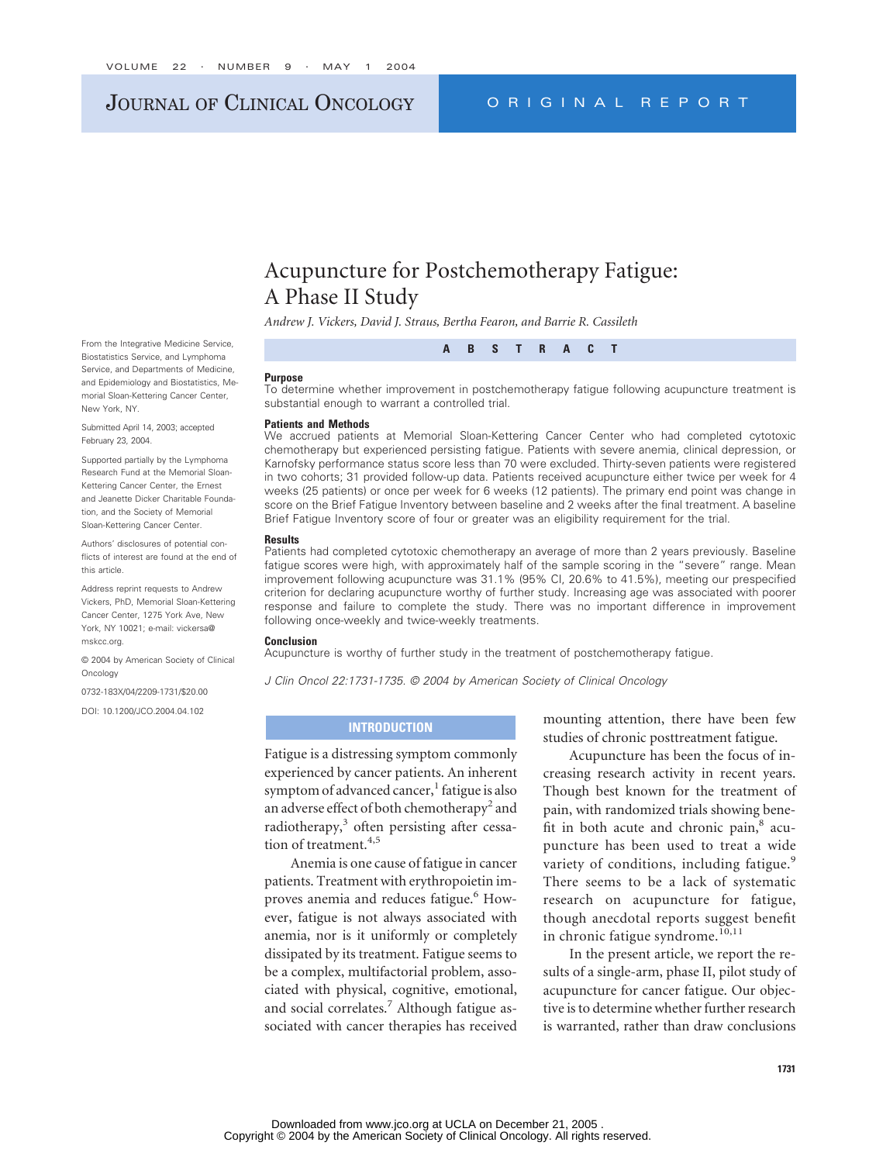# JOURNAL OF CLINICAL ONCOLOGY ORIGINAL REPORT

# Acupuncture for Postchemotherapy Fatigue: A Phase II Study

*Andrew J. Vickers, David J. Straus, Bertha Fearon, and Barrie R. Cassileth*

**ABSTRACT**

#### Biostatistics Service, and Lymphoma Service, and Departments of Medicine, and Epidemiology and Biostatistics, Memorial Sloan-Kettering Cancer Center, New York, NY.

From the Integrative Medicine Service,

Submitted April 14, 2003; accepted February 23, 2004.

Supported partially by the Lymphoma Research Fund at the Memorial Sloan-Kettering Cancer Center, the Ernest and Jeanette Dicker Charitable Foundation, and the Society of Memorial Sloan-Kettering Cancer Center.

Authors' disclosures of potential conflicts of interest are found at the end of this article.

Address reprint requests to Andrew Vickers, PhD, Memorial Sloan-Kettering Cancer Center, 1275 York Ave, New York, NY 10021; e-mail: vickersa@ mskcc.org.

© 2004 by American Society of Clinical Oncology

0732-183X/04/2209-1731/\$20.00

DOI: 10.1200/JCO.2004.04.102

# **Purpose**

To determine whether improvement in postchemotherapy fatigue following acupuncture treatment is substantial enough to warrant a controlled trial.

# **Patients and Methods**

We accrued patients at Memorial Sloan-Kettering Cancer Center who had completed cytotoxic chemotherapy but experienced persisting fatigue. Patients with severe anemia, clinical depression, or Karnofsky performance status score less than 70 were excluded. Thirty-seven patients were registered in two cohorts; 31 provided follow-up data. Patients received acupuncture either twice per week for 4 weeks (25 patients) or once per week for 6 weeks (12 patients). The primary end point was change in score on the Brief Fatigue Inventory between baseline and 2 weeks after the final treatment. A baseline Brief Fatigue Inventory score of four or greater was an eligibility requirement for the trial.

#### **Results**

Patients had completed cytotoxic chemotherapy an average of more than 2 years previously. Baseline fatigue scores were high, with approximately half of the sample scoring in the "severe" range. Mean improvement following acupuncture was 31.1% (95% CI, 20.6% to 41.5%), meeting our prespecified criterion for declaring acupuncture worthy of further study. Increasing age was associated with poorer response and failure to complete the study. There was no important difference in improvement following once-weekly and twice-weekly treatments.

#### **Conclusion**

Acupuncture is worthy of further study in the treatment of postchemotherapy fatigue.

*J Clin Oncol 22:1731-1735. © 2004 by American Society of Clinical Oncology*

### **INTRODUCTION**

Fatigue is a distressing symptom commonly experienced by cancer patients. An inherent symptom of advanced cancer, $<sup>1</sup>$  fatigue is also</sup> an adverse effect of both chemotherapy<sup>2</sup> and radiotherapy,<sup>3</sup> often persisting after cessation of treatment.<sup>4,5</sup>

Anemia is one cause of fatigue in cancer patients. Treatment with erythropoietin improves anemia and reduces fatigue.<sup>6</sup> However, fatigue is not always associated with anemia, nor is it uniformly or completely dissipated by its treatment. Fatigue seems to be a complex, multifactorial problem, associated with physical, cognitive, emotional, and social correlates.<sup>7</sup> Although fatigue associated with cancer therapies has received mounting attention, there have been few studies of chronic posttreatment fatigue.

Acupuncture has been the focus of increasing research activity in recent years. Though best known for the treatment of pain, with randomized trials showing benefit in both acute and chronic pain, $8$  acupuncture has been used to treat a wide variety of conditions, including fatigue.<sup>9</sup> There seems to be a lack of systematic research on acupuncture for fatigue, though anecdotal reports suggest benefit in chronic fatigue syndrome.<sup>10,11</sup>

In the present article, we report the results of a single-arm, phase II, pilot study of acupuncture for cancer fatigue. Our objective is to determine whether further research is warranted, rather than draw conclusions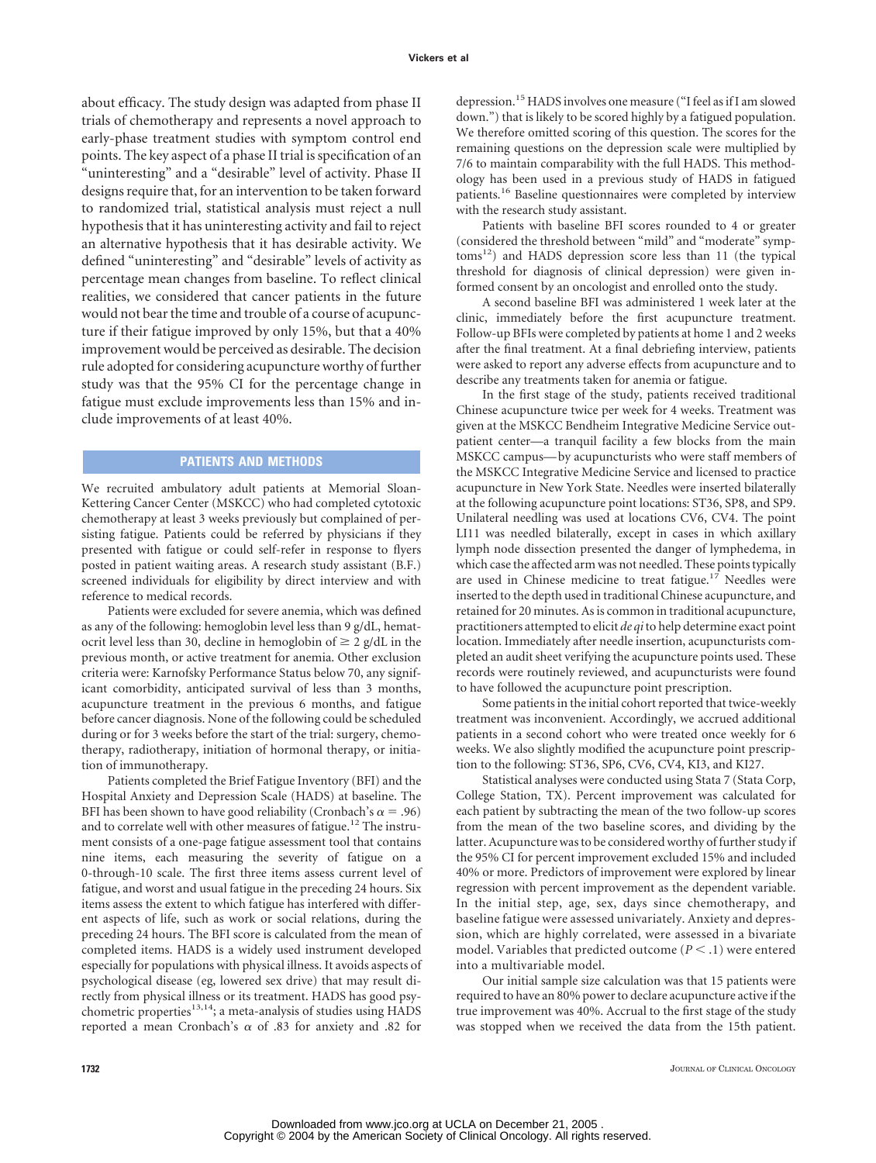about efficacy. The study design was adapted from phase II trials of chemotherapy and represents a novel approach to early-phase treatment studies with symptom control end points. The key aspect of a phase II trial is specification of an "uninteresting" and a "desirable" level of activity. Phase II designs require that, for an intervention to be taken forward to randomized trial, statistical analysis must reject a null hypothesis that it has uninteresting activity and fail to reject an alternative hypothesis that it has desirable activity. We defined "uninteresting" and "desirable" levels of activity as percentage mean changes from baseline. To reflect clinical realities, we considered that cancer patients in the future would not bear the time and trouble of a course of acupuncture if their fatigue improved by only 15%, but that a 40% improvement would be perceived as desirable. The decision rule adopted for considering acupuncture worthy of further study was that the 95% CI for the percentage change in fatigue must exclude improvements less than 15% and include improvements of at least 40%.

# **PATIENTS AND METHODS**

We recruited ambulatory adult patients at Memorial Sloan-Kettering Cancer Center (MSKCC) who had completed cytotoxic chemotherapy at least 3 weeks previously but complained of persisting fatigue. Patients could be referred by physicians if they presented with fatigue or could self-refer in response to flyers posted in patient waiting areas. A research study assistant (B.F.) screened individuals for eligibility by direct interview and with reference to medical records.

Patients were excluded for severe anemia, which was defined as any of the following: hemoglobin level less than 9 g/dL, hematocrit level less than 30, decline in hemoglobin of  $\geq 2$  g/dL in the previous month, or active treatment for anemia. Other exclusion criteria were: Karnofsky Performance Status below 70, any significant comorbidity, anticipated survival of less than 3 months, acupuncture treatment in the previous 6 months, and fatigue before cancer diagnosis. None of the following could be scheduled during or for 3 weeks before the start of the trial: surgery, chemotherapy, radiotherapy, initiation of hormonal therapy, or initiation of immunotherapy.

Patients completed the Brief Fatigue Inventory (BFI) and the Hospital Anxiety and Depression Scale (HADS) at baseline. The BFI has been shown to have good reliability (Cronbach's  $\alpha = .96$ ) and to correlate well with other measures of fatigue. $^{12}$  The instrument consists of a one-page fatigue assessment tool that contains nine items, each measuring the severity of fatigue on a 0-through-10 scale. The first three items assess current level of fatigue, and worst and usual fatigue in the preceding 24 hours. Six items assess the extent to which fatigue has interfered with different aspects of life, such as work or social relations, during the preceding 24 hours. The BFI score is calculated from the mean of completed items. HADS is a widely used instrument developed especially for populations with physical illness. It avoids aspects of psychological disease (eg, lowered sex drive) that may result directly from physical illness or its treatment. HADS has good psychometric properties<sup>13,14</sup>; a meta-analysis of studies using HADS reported a mean Cronbach's  $\alpha$  of .83 for anxiety and .82 for

depression.15HADS involves one measure ("I feel as if I am slowed down.") that is likely to be scored highly by a fatigued population. We therefore omitted scoring of this question. The scores for the remaining questions on the depression scale were multiplied by 7/6 to maintain comparability with the full HADS. This methodology has been used in a previous study of HADS in fatigued patients.16 Baseline questionnaires were completed by interview with the research study assistant.

Patients with baseline BFI scores rounded to 4 or greater (considered the threshold between "mild" and "moderate" symptoms<sup>12</sup>) and HADS depression score less than 11 (the typical threshold for diagnosis of clinical depression) were given informed consent by an oncologist and enrolled onto the study.

A second baseline BFI was administered 1 week later at the clinic, immediately before the first acupuncture treatment. Follow-up BFIs were completed by patients at home 1 and 2 weeks after the final treatment. At a final debriefing interview, patients were asked to report any adverse effects from acupuncture and to describe any treatments taken for anemia or fatigue.

In the first stage of the study, patients received traditional Chinese acupuncture twice per week for 4 weeks. Treatment was given at the MSKCC Bendheim Integrative Medicine Service outpatient center—a tranquil facility a few blocks from the main MSKCC campus— by acupuncturists who were staff members of the MSKCC Integrative Medicine Service and licensed to practice acupuncture in New York State. Needles were inserted bilaterally at the following acupuncture point locations: ST36, SP8, and SP9. Unilateral needling was used at locations CV6, CV4. The point LI11 was needled bilaterally, except in cases in which axillary lymph node dissection presented the danger of lymphedema, in which case the affected arm was not needled. These points typically are used in Chinese medicine to treat fatigue.<sup>17</sup> Needles were inserted to the depth used in traditional Chinese acupuncture, and retained for 20 minutes. As is common in traditional acupuncture, practitioners attempted to elicit *de qi* to help determine exact point location. Immediately after needle insertion, acupuncturists completed an audit sheet verifying the acupuncture points used. These records were routinely reviewed, and acupuncturists were found to have followed the acupuncture point prescription.

Some patients in the initial cohort reported that twice-weekly treatment was inconvenient. Accordingly, we accrued additional patients in a second cohort who were treated once weekly for 6 weeks. We also slightly modified the acupuncture point prescription to the following: ST36, SP6, CV6, CV4, KI3, and KI27.

Statistical analyses were conducted using Stata 7 (Stata Corp, College Station, TX). Percent improvement was calculated for each patient by subtracting the mean of the two follow-up scores from the mean of the two baseline scores, and dividing by the latter. Acupuncture was to be considered worthy of further study if the 95% CI for percent improvement excluded 15% and included 40% or more. Predictors of improvement were explored by linear regression with percent improvement as the dependent variable. In the initial step, age, sex, days since chemotherapy, and baseline fatigue were assessed univariately. Anxiety and depression, which are highly correlated, were assessed in a bivariate model. Variables that predicted outcome ( $P < 0.1$ ) were entered into a multivariable model.

Our initial sample size calculation was that 15 patients were required to have an 80% power to declare acupuncture active if the true improvement was 40%. Accrual to the first stage of the study was stopped when we received the data from the 15th patient.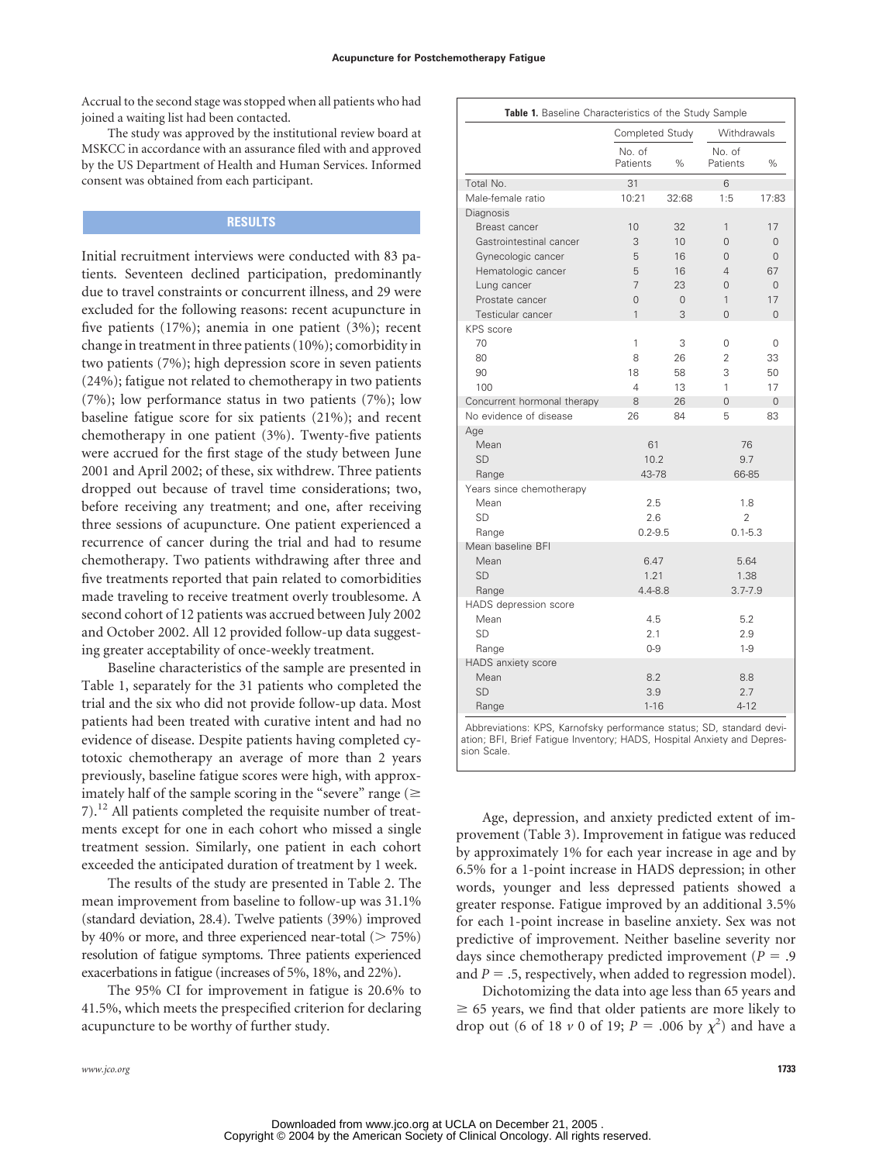Accrual to the second stage was stopped when all patients who had joined a waiting list had been contacted.

The study was approved by the institutional review board at MSKCC in accordance with an assurance filed with and approved by the US Department of Health and Human Services. Informed consent was obtained from each participant.

### **RESULTS**

Initial recruitment interviews were conducted with 83 patients. Seventeen declined participation, predominantly due to travel constraints or concurrent illness, and 29 were excluded for the following reasons: recent acupuncture in five patients (17%); anemia in one patient (3%); recent change in treatment in three patients (10%); comorbidity in two patients (7%); high depression score in seven patients (24%); fatigue not related to chemotherapy in two patients (7%); low performance status in two patients (7%); low baseline fatigue score for six patients (21%); and recent chemotherapy in one patient (3%). Twenty-five patients were accrued for the first stage of the study between June 2001 and April 2002; of these, six withdrew. Three patients dropped out because of travel time considerations; two, before receiving any treatment; and one, after receiving three sessions of acupuncture. One patient experienced a recurrence of cancer during the trial and had to resume chemotherapy. Two patients withdrawing after three and five treatments reported that pain related to comorbidities made traveling to receive treatment overly troublesome. A second cohort of 12 patients was accrued between July 2002 and October 2002. All 12 provided follow-up data suggesting greater acceptability of once-weekly treatment.

Baseline characteristics of the sample are presented in Table 1, separately for the 31 patients who completed the trial and the six who did not provide follow-up data. Most patients had been treated with curative intent and had no evidence of disease. Despite patients having completed cytotoxic chemotherapy an average of more than 2 years previously, baseline fatigue scores were high, with approximately half of the sample scoring in the "severe" range  $(\geq$ 7).<sup>12</sup> All patients completed the requisite number of treatments except for one in each cohort who missed a single treatment session. Similarly, one patient in each cohort exceeded the anticipated duration of treatment by 1 week.

The results of the study are presented in Table 2. The mean improvement from baseline to follow-up was 31.1% (standard deviation, 28.4). Twelve patients (39%) improved by 40% or more, and three experienced near-total  $($  > 75%) resolution of fatigue symptoms. Three patients experienced exacerbations in fatigue (increases of 5%, 18%, and 22%).

The 95% CI for improvement in fatigue is 20.6% to 41.5%, which meets the prespecified criterion for declaring acupuncture to be worthy of further study.

**Table 1.** Baseline Characteristics of the Study Sample Completed Study Withdrawals No. of Patients % No. of Patients % Total No. 6 Male-female ratio 10:21 32:68 1:5 17:83 Diagnosis Breast cancer 10 32 1 17 Gastrointestinal cancer 3 10 0 0 Gynecologic cancer 5 16 0 0 Hematologic cancer 5 16 4 67 Lung cancer 27 23 0 0 Prostate cancer 0 0 0 1 17 Testicular cancer 1 3 0 0 0 KPS score 70 1 3 0 0 80 8 26 2 33 90 18 58 3 50 100 4 13 1 17 Concurrent hormonal therapy  $8$  26 0 0 No evidence of disease  $26$  84 5 83 Age Mean 76 SD 3.7 9.7 Range 66-85 Years since chemotherapy Mean 2.5 2.5 1.8 SD 2.6 2 Range 0.2-9.5 0.1-5.3 Mean baseline BFI Mean 6.47 5.64 SD 1.21 1.38 Range 4.4-8.8 3.7-7.9 HADS depression score Mean 5.2 SD 2.1 2.9 Range 1-9 1-9 HADS anxiety score Mean 8.2 8.8 SD 3.9 2.7 Range 2012 1-16 4-12

Abbreviations: KPS, Karnofsky performance status; SD, standard deviation; BFI, Brief Fatigue Inventory; HADS, Hospital Anxiety and Depression Scale.

Age, depression, and anxiety predicted extent of improvement (Table 3). Improvement in fatigue was reduced by approximately 1% for each year increase in age and by 6.5% for a 1-point increase in HADS depression; in other words, younger and less depressed patients showed a greater response. Fatigue improved by an additional 3.5% for each 1-point increase in baseline anxiety. Sex was not predictive of improvement. Neither baseline severity nor days since chemotherapy predicted improvement ( $P = .9$ and  $P = .5$ , respectively, when added to regression model).

Dichotomizing the data into age less than 65 years and  $\geq$  65 years, we find that older patients are more likely to drop out (6 of 18  $\nu$  0 of 19; *P* = .006 by  $\chi^2$ ) and have a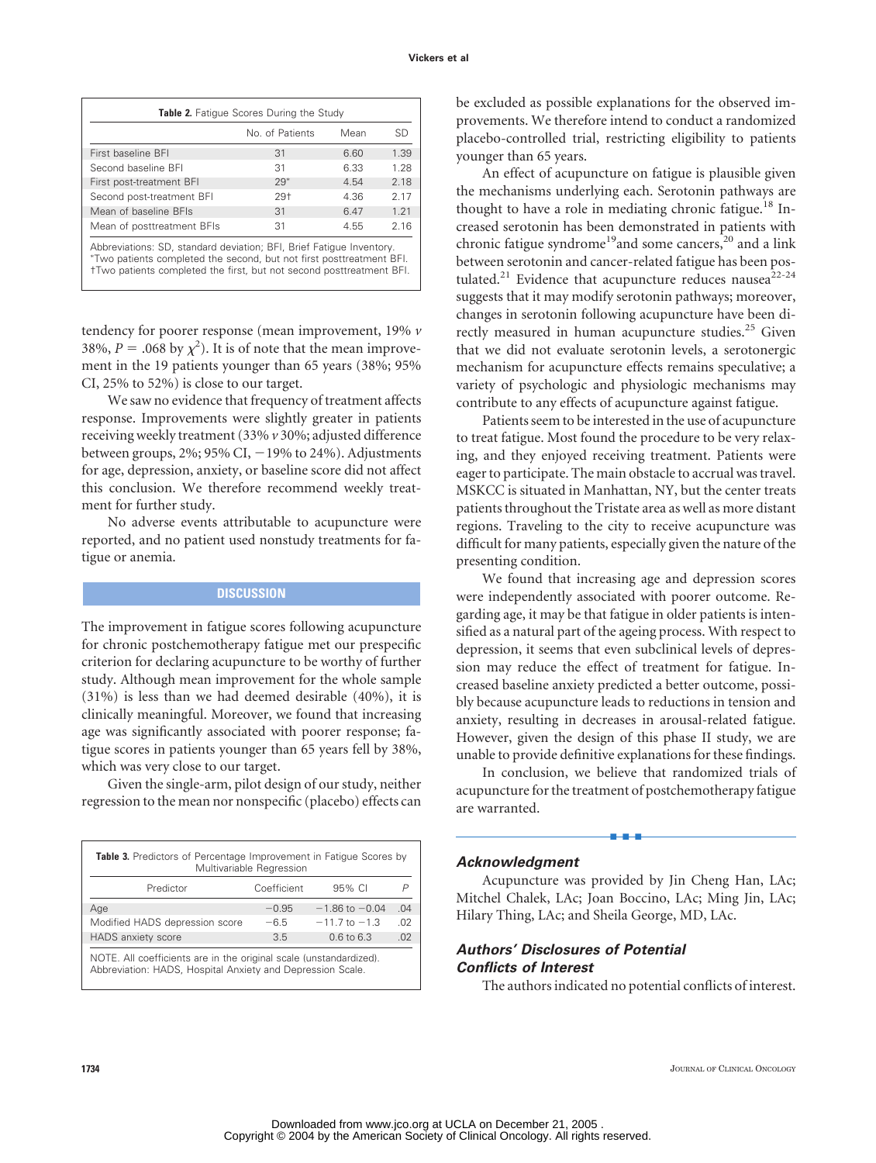| Table 2. Fatique Scores During the Study |                 |      |      |  |
|------------------------------------------|-----------------|------|------|--|
|                                          | No. of Patients | Mean | SD   |  |
| First baseline BFI                       | 31              | 6.60 | 1.39 |  |
| Second baseline BFI                      | 31              | 6.33 | 1.28 |  |
| First post-treatment BFI                 | $29*$           | 4.54 | 2.18 |  |
| Second post-treatment BFI                | 29 <sup>†</sup> | 4.36 | 2.17 |  |
| Mean of baseline BFIs                    | 31              | 6.47 | 1.21 |  |
| Mean of posttreatment BFIs               | 31              | 4.55 | 2 16 |  |

Abbreviations: SD, standard deviation; BFI, Brief Fatigue Inventory. Two patients completed the second, but not first posttreatment BFI. †Two patients completed the first, but not second posttreatment BFI.

tendency for poorer response (mean improvement, 19% *v* 38%,  $P = .068$  by  $\chi^2$ ). It is of note that the mean improvement in the 19 patients younger than 65 years (38%; 95% CI, 25% to 52%) is close to our target.

We saw no evidence that frequency of treatment affects response. Improvements were slightly greater in patients receiving weekly treatment (33% *v* 30%; adjusted difference between groups,  $2\%$ ;  $95\%$  CI,  $-19\%$  to  $24\%$ ). Adjustments for age, depression, anxiety, or baseline score did not affect this conclusion. We therefore recommend weekly treatment for further study.

No adverse events attributable to acupuncture were reported, and no patient used nonstudy treatments for fatigue or anemia.

### **DISCUSSION**

The improvement in fatigue scores following acupuncture for chronic postchemotherapy fatigue met our prespecific criterion for declaring acupuncture to be worthy of further study. Although mean improvement for the whole sample (31%) is less than we had deemed desirable (40%), it is clinically meaningful. Moreover, we found that increasing age was significantly associated with poorer response; fatigue scores in patients younger than 65 years fell by 38%, which was very close to our target.

Given the single-arm, pilot design of our study, neither regression to the mean nor nonspecific (placebo) effects can

| <b>Table 3.</b> Predictors of Percentage Improvement in Fatique Scores by<br>Multivariable Regression                            |             |                       |     |  |
|----------------------------------------------------------------------------------------------------------------------------------|-------------|-----------------------|-----|--|
| Predictor                                                                                                                        | Coefficient | 95% CI                | P   |  |
| Age                                                                                                                              | $-0.95$     | $-1.86$ to $-0.04$    | .04 |  |
| Modified HADS depression score                                                                                                   | $-6.5$      | $-11.7$ to $-1.3$     | .02 |  |
| HADS anxiety score                                                                                                               | 3.5         | $0.6 \text{ to } 6.3$ | .02 |  |
| NOTE. All coefficients are in the original scale (unstandardized).<br>Abbreviation: HADS, Hospital Anxiety and Depression Scale. |             |                       |     |  |

be excluded as possible explanations for the observed improvements. We therefore intend to conduct a randomized placebo-controlled trial, restricting eligibility to patients younger than 65 years.

An effect of acupuncture on fatigue is plausible given the mechanisms underlying each. Serotonin pathways are thought to have a role in mediating chronic fatigue.<sup>18</sup> Increased serotonin has been demonstrated in patients with chronic fatigue syndrome<sup>19</sup> and some cancers,<sup>20</sup> and a link between serotonin and cancer-related fatigue has been postulated.<sup>21</sup> Evidence that acupuncture reduces nausea<sup>22-24</sup> suggests that it may modify serotonin pathways; moreover, changes in serotonin following acupuncture have been directly measured in human acupuncture studies.<sup>25</sup> Given that we did not evaluate serotonin levels, a serotonergic mechanism for acupuncture effects remains speculative; a variety of psychologic and physiologic mechanisms may contribute to any effects of acupuncture against fatigue.

Patients seem to be interested in the use of acupuncture to treat fatigue. Most found the procedure to be very relaxing, and they enjoyed receiving treatment. Patients were eager to participate. The main obstacle to accrual was travel. MSKCC is situated in Manhattan, NY, but the center treats patients throughout the Tristate area as well as more distant regions. Traveling to the city to receive acupuncture was difficult for many patients, especially given the nature of the presenting condition.

We found that increasing age and depression scores were independently associated with poorer outcome. Regarding age, it may be that fatigue in older patients is intensified as a natural part of the ageing process. With respect to depression, it seems that even subclinical levels of depression may reduce the effect of treatment for fatigue. Increased baseline anxiety predicted a better outcome, possibly because acupuncture leads to reductions in tension and anxiety, resulting in decreases in arousal-related fatigue. However, given the design of this phase II study, we are unable to provide definitive explanations for these findings.

In conclusion, we believe that randomized trials of acupuncture for the treatment of postchemotherapy fatigue are warranted.

■■■

## *Acknowledgment*

Acupuncture was provided by Jin Cheng Han, LAc; Mitchel Chalek, LAc; Joan Boccino, LAc; Ming Jin, LAc; Hilary Thing, LAc; and Sheila George, MD, LAc.

# *Authors' Disclosures of Potential Conflicts of Interest*

The authors indicated no potential conflicts of interest.

**1734** JOURNAL OF CLINICAL ONCOLOGY